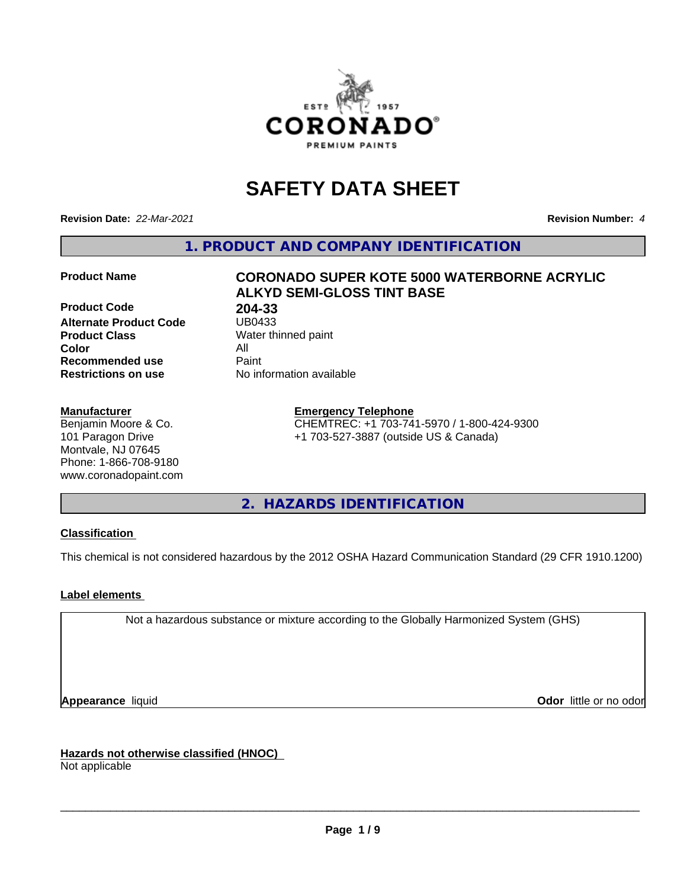

# **SAFETY DATA SHEET**

**Revision Date:** *22-Mar-2021* **Revision Number:** *4*

**1. PRODUCT AND COMPANY IDENTIFICATION**

**Product Code 19 1204-33**<br>**Alternate Product Code 18 1280433 Alternate Product Code Product Class** Water thinned paint<br> **Color** All **Color** All **Recommended use Caint Restrictions on use** No information available

#### **Manufacturer**

Benjamin Moore & Co. 101 Paragon Drive Montvale, NJ 07645 Phone: 1-866-708-9180 www.coronadopaint.com

# **Product Name CORONADO SUPER KOTE 5000 WATERBORNE ACRYLIC ALKYD SEMI-GLOSS TINT BASE**

**Emergency Telephone** CHEMTREC: +1 703-741-5970 / 1-800-424-9300 +1 703-527-3887 (outside US & Canada)

**2. HAZARDS IDENTIFICATION**

### **Classification**

This chemical is not considered hazardous by the 2012 OSHA Hazard Communication Standard (29 CFR 1910.1200)

### **Label elements**

Not a hazardous substance or mixture according to the Globally Harmonized System (GHS)

**Appearance** liquid **Contract Contract Contract Contract Contract Contract Contract Contract Contract Contract Contract Contract Contract Contract Contract Contract Contract Contract Contract Contract Contract Contract Con** 

**Hazards not otherwise classified (HNOC)**

Not applicable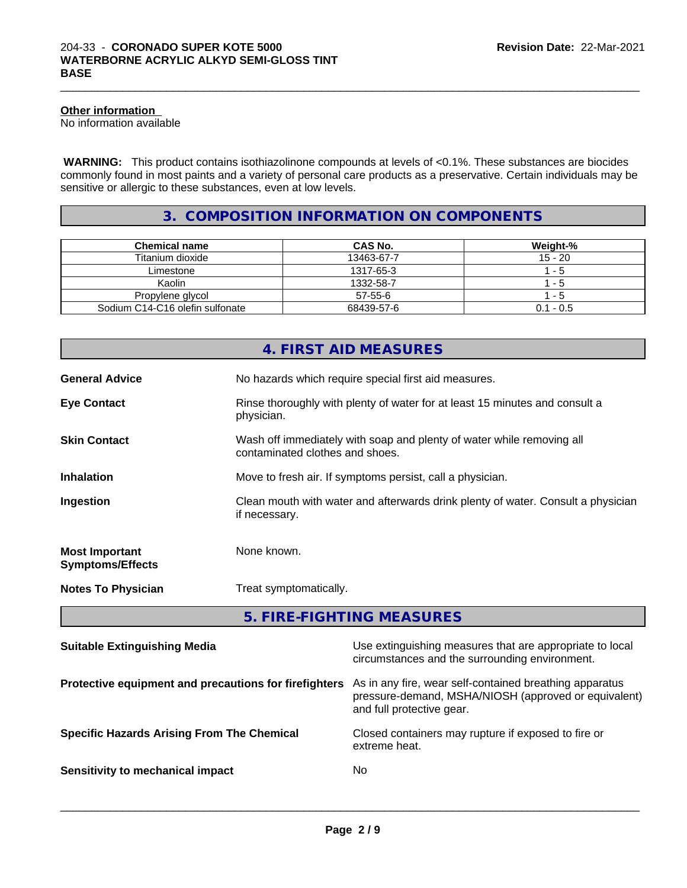#### **Other information**

No information available

 **WARNING:** This product contains isothiazolinone compounds at levels of <0.1%. These substances are biocides commonly found in most paints and a variety of personal care products as a preservative. Certain individuals may be sensitive or allergic to these substances, even at low levels.

 $\_$  ,  $\_$  ,  $\_$  ,  $\_$  ,  $\_$  ,  $\_$  ,  $\_$  ,  $\_$  ,  $\_$  ,  $\_$  ,  $\_$  ,  $\_$  ,  $\_$  ,  $\_$  ,  $\_$  ,  $\_$  ,  $\_$  ,  $\_$  ,  $\_$  ,  $\_$  ,  $\_$  ,  $\_$  ,  $\_$  ,  $\_$  ,  $\_$  ,  $\_$  ,  $\_$  ,  $\_$  ,  $\_$  ,  $\_$  ,  $\_$  ,  $\_$  ,  $\_$  ,  $\_$  ,  $\_$  ,  $\_$  ,  $\_$  ,

# **3. COMPOSITION INFORMATION ON COMPONENTS**

| <b>Chemical name</b>            | CAS No.       | Weight-%    |
|---------------------------------|---------------|-------------|
| Titanium dioxide                | 13463-67-7    | $15 - 20$   |
| Limestone                       | 1317-65-3     | - 5         |
| Kaolin                          | 1332-58-7     | - 5         |
| Propylene glycol                | $57 - 55 - 6$ | - 5         |
| Sodium C14-C16 olefin sulfonate | 68439-57-6    | $0.1 - 0.5$ |

|                                                  | 4. FIRST AID MEASURES                                                                                    |
|--------------------------------------------------|----------------------------------------------------------------------------------------------------------|
| <b>General Advice</b>                            | No hazards which require special first aid measures.                                                     |
| <b>Eye Contact</b>                               | Rinse thoroughly with plenty of water for at least 15 minutes and consult a<br>physician.                |
| <b>Skin Contact</b>                              | Wash off immediately with soap and plenty of water while removing all<br>contaminated clothes and shoes. |
| <b>Inhalation</b>                                | Move to fresh air. If symptoms persist, call a physician.                                                |
| Ingestion                                        | Clean mouth with water and afterwards drink plenty of water. Consult a physician<br>if necessary.        |
| <b>Most Important</b><br><b>Symptoms/Effects</b> | None known.                                                                                              |
| <b>Notes To Physician</b>                        | Treat symptomatically.                                                                                   |

**5. FIRE-FIGHTING MEASURES**

| <b>Suitable Extinguishing Media</b>                   | Use extinguishing measures that are appropriate to local<br>circumstances and the surrounding environment.                                   |
|-------------------------------------------------------|----------------------------------------------------------------------------------------------------------------------------------------------|
| Protective equipment and precautions for firefighters | As in any fire, wear self-contained breathing apparatus<br>pressure-demand, MSHA/NIOSH (approved or equivalent)<br>and full protective gear. |
| <b>Specific Hazards Arising From The Chemical</b>     | Closed containers may rupture if exposed to fire or<br>extreme heat.                                                                         |
| Sensitivity to mechanical impact                      | No.                                                                                                                                          |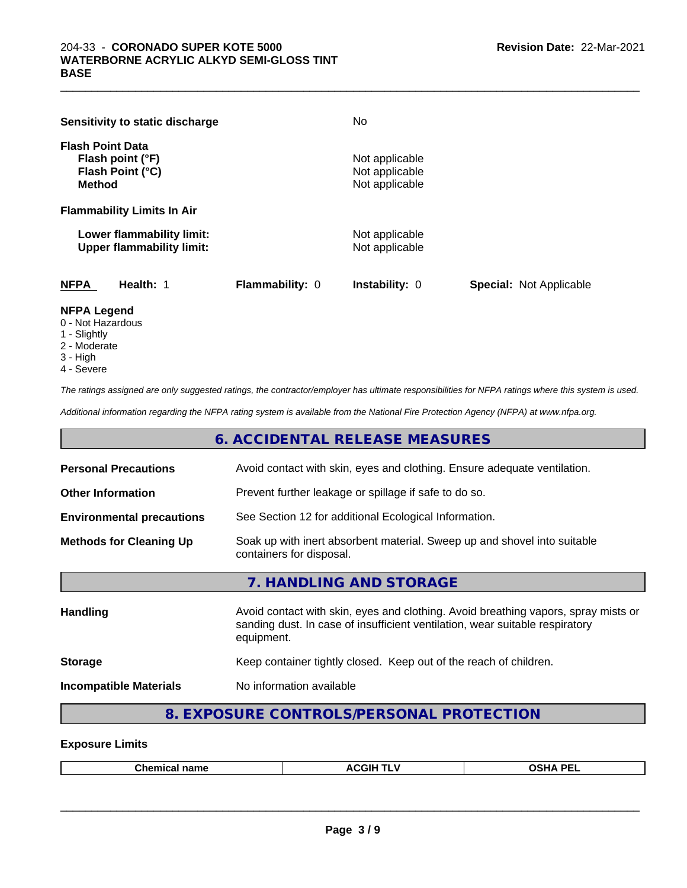| Sensitivity to static discharge                                                  | No                                                 |                                |
|----------------------------------------------------------------------------------|----------------------------------------------------|--------------------------------|
| <b>Flash Point Data</b><br>Flash point (°F)<br>Flash Point (°C)<br><b>Method</b> | Not applicable<br>Not applicable<br>Not applicable |                                |
| <b>Flammability Limits In Air</b>                                                |                                                    |                                |
| Lower flammability limit:<br><b>Upper flammability limit:</b>                    | Not applicable<br>Not applicable                   |                                |
| <b>NFPA</b><br>Health: 1<br><b>Flammability: 0</b><br>------                     | Instability: 0                                     | <b>Special: Not Applicable</b> |

#### **NFPA Legend**

- 0 Not Hazardous
- 1 Slightly
- 2 Moderate
- 3 High
- 4 Severe

*The ratings assigned are only suggested ratings, the contractor/employer has ultimate responsibilities for NFPA ratings where this system is used.*

*Additional information regarding the NFPA rating system is available from the National Fire Protection Agency (NFPA) at www.nfpa.org.*

# **6. ACCIDENTAL RELEASE MEASURES**

| <b>Personal Precautions</b>      | Avoid contact with skin, eyes and clothing. Ensure adequate ventilation.                                                                                                         |
|----------------------------------|----------------------------------------------------------------------------------------------------------------------------------------------------------------------------------|
| <b>Other Information</b>         | Prevent further leakage or spillage if safe to do so.                                                                                                                            |
| <b>Environmental precautions</b> | See Section 12 for additional Ecological Information.                                                                                                                            |
| <b>Methods for Cleaning Up</b>   | Soak up with inert absorbent material. Sweep up and shovel into suitable<br>containers for disposal.                                                                             |
|                                  | 7. HANDLING AND STORAGE                                                                                                                                                          |
| <b>Handling</b>                  | Avoid contact with skin, eyes and clothing. Avoid breathing vapors, spray mists or<br>sanding dust. In case of insufficient ventilation, wear suitable respiratory<br>equipment. |
| <b>Storage</b>                   | Keep container tightly closed. Keep out of the reach of children.                                                                                                                |
| <b>Incompatible Materials</b>    | No information available                                                                                                                                                         |
|                                  |                                                                                                                                                                                  |

## **8. EXPOSURE CONTROLS/PERSONAL PROTECTION**

#### **Exposure Limits**

|--|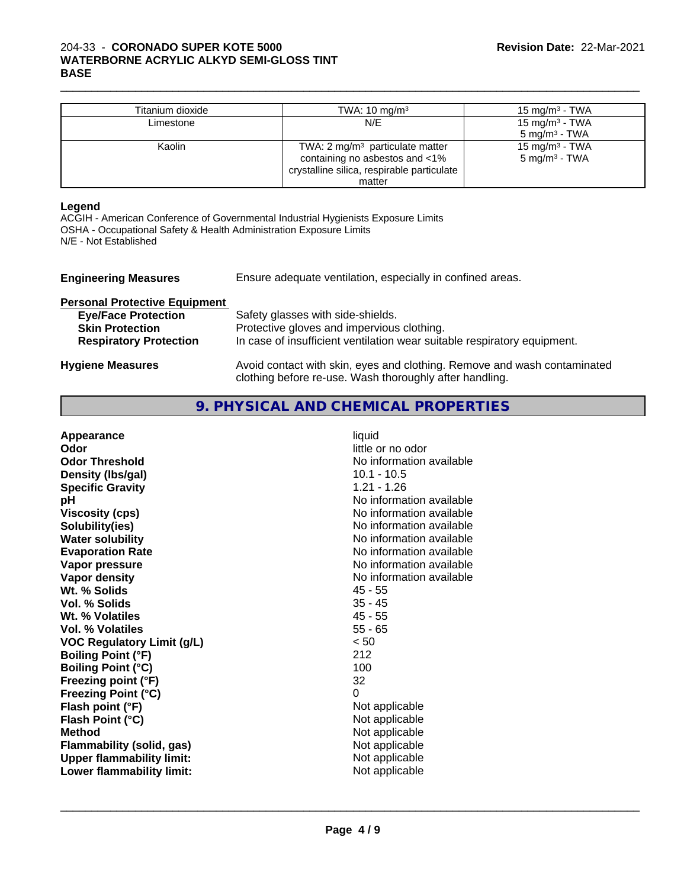#### 204-33 - **CORONADO SUPER KOTE 5000 WATERBORNE ACRYLIC ALKYD SEMI-GLOSS TINT BASE**

| Titanium dioxide | TWA: $10 \text{ mg/m}^3$                   | 15 mg/m $3$ - TWA          |
|------------------|--------------------------------------------|----------------------------|
| Limestone        | N/E                                        | 15 mg/m $3$ - TWA          |
|                  |                                            | $5 \text{ mg/m}^3$ - TWA   |
| Kaolin           | TWA: 2 $mg/m3$ particulate matter          | 15 mg/m <sup>3</sup> - TWA |
|                  | containing no asbestos and <1%             | 5 mg/m <sup>3</sup> - TWA  |
|                  | crystalline silica, respirable particulate |                            |
|                  | matter                                     |                            |

 $\_$  ,  $\_$  ,  $\_$  ,  $\_$  ,  $\_$  ,  $\_$  ,  $\_$  ,  $\_$  ,  $\_$  ,  $\_$  ,  $\_$  ,  $\_$  ,  $\_$  ,  $\_$  ,  $\_$  ,  $\_$  ,  $\_$  ,  $\_$  ,  $\_$  ,  $\_$  ,  $\_$  ,  $\_$  ,  $\_$  ,  $\_$  ,  $\_$  ,  $\_$  ,  $\_$  ,  $\_$  ,  $\_$  ,  $\_$  ,  $\_$  ,  $\_$  ,  $\_$  ,  $\_$  ,  $\_$  ,  $\_$  ,  $\_$  ,

#### **Legend**

ACGIH - American Conference of Governmental Industrial Hygienists Exposure Limits OSHA - Occupational Safety & Health Administration Exposure Limits N/E - Not Established

| <b>Engineering Measures</b>          | Ensure adequate ventilation, especially in confined areas.                                                                          |
|--------------------------------------|-------------------------------------------------------------------------------------------------------------------------------------|
| <b>Personal Protective Equipment</b> |                                                                                                                                     |
| <b>Eye/Face Protection</b>           | Safety glasses with side-shields.                                                                                                   |
| <b>Skin Protection</b>               | Protective gloves and impervious clothing.                                                                                          |
| <b>Respiratory Protection</b>        | In case of insufficient ventilation wear suitable respiratory equipment.                                                            |
| <b>Hygiene Measures</b>              | Avoid contact with skin, eyes and clothing. Remove and wash contaminated<br>clothing before re-use. Wash thoroughly after handling. |

# **9. PHYSICAL AND CHEMICAL PROPERTIES**

| No information available<br>$10.1 - 10.5$<br>$1.21 - 1.26$<br>No information available<br>No information available<br>No information available<br>No information available<br>No information available<br><b>Evaporation Rate</b><br>No information available<br>No information available<br>$45 - 55$<br>$35 - 45$<br>$45 - 55$<br>$55 - 65$<br>< 50<br><b>VOC Regulatory Limit (g/L)</b><br>212<br>100<br><b>Boiling Point (°C)</b><br>32<br>Freezing point (°F)<br>$\Omega$<br><b>Freezing Point (°C)</b><br>Not applicable<br>Not applicable<br>Not applicable<br>Not applicable<br>Flammability (solid, gas) |
|-------------------------------------------------------------------------------------------------------------------------------------------------------------------------------------------------------------------------------------------------------------------------------------------------------------------------------------------------------------------------------------------------------------------------------------------------------------------------------------------------------------------------------------------------------------------------------------------------------------------|
| Not applicable<br><b>Upper flammability limit:</b><br>Not applicable<br>Lower flammability limit:                                                                                                                                                                                                                                                                                                                                                                                                                                                                                                                 |
|                                                                                                                                                                                                                                                                                                                                                                                                                                                                                                                                                                                                                   |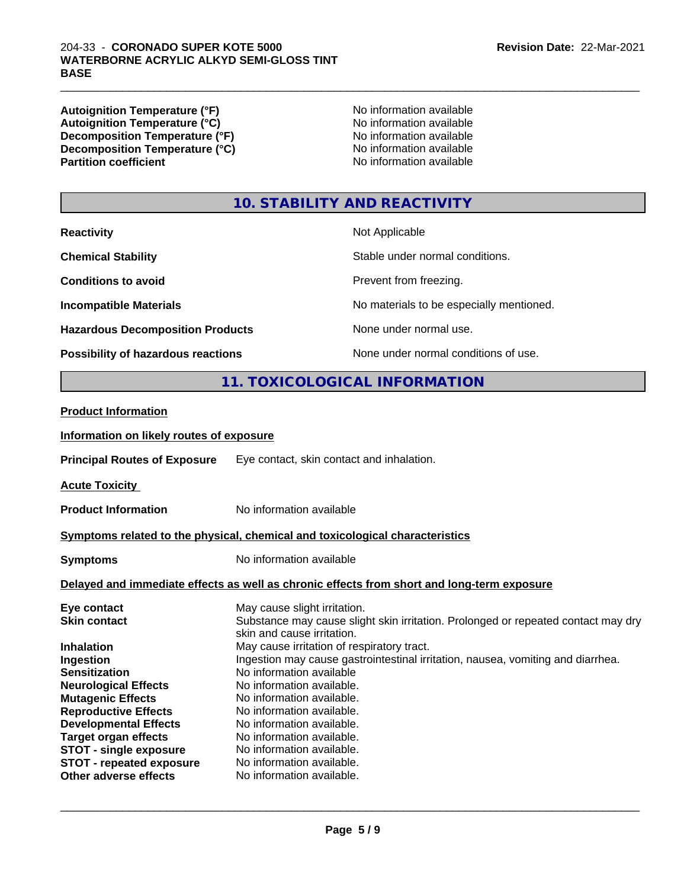#### 204-33 - **CORONADO SUPER KOTE 5000 WATERBORNE ACRYLIC ALKYD SEMI-GLOSS TINT BASE**

**Autoignition Temperature (°F)**<br> **Autoignition Temperature (°C)** 
<br> **Autoignition Temperature (°C)** 
<br> **Autoignition Temperature (°C)** Autoignition Temperature (°C)<br>
Decomposition Temperature (°F)<br>
No information available **Decomposition Temperature (°F)**<br> **Decomposition Temperature (°C)** No information available<br>
No information available **Decomposition Temperature (°C)**<br>Partition coefficient

**No information available** 

 $\_$  ,  $\_$  ,  $\_$  ,  $\_$  ,  $\_$  ,  $\_$  ,  $\_$  ,  $\_$  ,  $\_$  ,  $\_$  ,  $\_$  ,  $\_$  ,  $\_$  ,  $\_$  ,  $\_$  ,  $\_$  ,  $\_$  ,  $\_$  ,  $\_$  ,  $\_$  ,  $\_$  ,  $\_$  ,  $\_$  ,  $\_$  ,  $\_$  ,  $\_$  ,  $\_$  ,  $\_$  ,  $\_$  ,  $\_$  ,  $\_$  ,  $\_$  ,  $\_$  ,  $\_$  ,  $\_$  ,  $\_$  ,  $\_$  ,

# **10. STABILITY AND REACTIVITY**

| <b>Reactivity</b>                         | Not Applicable                           |
|-------------------------------------------|------------------------------------------|
| <b>Chemical Stability</b>                 | Stable under normal conditions.          |
| <b>Conditions to avoid</b>                | Prevent from freezing.                   |
| <b>Incompatible Materials</b>             | No materials to be especially mentioned. |
| <b>Hazardous Decomposition Products</b>   | None under normal use.                   |
| <b>Possibility of hazardous reactions</b> | None under normal conditions of use.     |

# **11. TOXICOLOGICAL INFORMATION**

#### **Product Information**

#### **Information on likely routes of exposure**

**Principal Routes of Exposure** Eye contact, skin contact and inhalation.

**Acute Toxicity** 

**Product Information** No information available

#### **Symptoms related to the physical,chemical and toxicological characteristics**

**Symptoms** No information available

#### **Delayed and immediate effects as well as chronic effects from short and long-term exposure**

| Eye contact                     | May cause slight irritation.                                                      |
|---------------------------------|-----------------------------------------------------------------------------------|
| <b>Skin contact</b>             | Substance may cause slight skin irritation. Prolonged or repeated contact may dry |
|                                 | skin and cause irritation.                                                        |
| <b>Inhalation</b>               | May cause irritation of respiratory tract.                                        |
| Ingestion                       | Ingestion may cause gastrointestinal irritation, nausea, vomiting and diarrhea.   |
| <b>Sensitization</b>            | No information available                                                          |
| <b>Neurological Effects</b>     | No information available.                                                         |
| <b>Mutagenic Effects</b>        | No information available.                                                         |
| <b>Reproductive Effects</b>     | No information available.                                                         |
| <b>Developmental Effects</b>    | No information available.                                                         |
| <b>Target organ effects</b>     | No information available.                                                         |
| <b>STOT - single exposure</b>   | No information available.                                                         |
| <b>STOT - repeated exposure</b> | No information available.                                                         |
| Other adverse effects           | No information available.                                                         |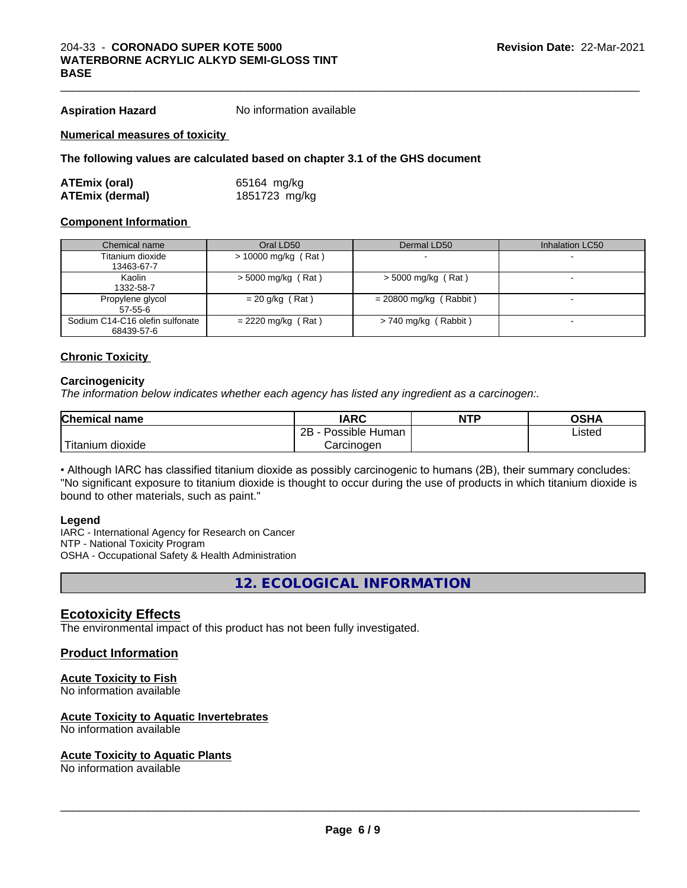**Aspiration Hazard** No information available

#### **Numerical measures of toxicity**

#### **The following values are calculated based on chapter 3.1 of the GHS document**

| ATEmix (oral)          | 65164 mg/kg   |
|------------------------|---------------|
| <b>ATEmix (dermal)</b> | 1851723 mg/kg |

#### **Component Information**

| Chemical name                                 | Oral LD50            | Dermal LD50              | Inhalation LC50 |
|-----------------------------------------------|----------------------|--------------------------|-----------------|
| Titanium dioxide<br>13463-67-7                | > 10000 mg/kg (Rat)  |                          |                 |
| Kaolin                                        | $>$ 5000 mg/kg (Rat) | $>$ 5000 mg/kg (Rat)     |                 |
| 1332-58-7                                     |                      |                          |                 |
| Propylene glycol<br>$57-55-6$                 | $= 20$ g/kg (Rat)    | $= 20800$ mg/kg (Rabbit) |                 |
| Sodium C14-C16 olefin sulfonate<br>68439-57-6 | $= 2220$ mg/kg (Rat) | $> 740$ mg/kg (Rabbit)   |                 |

#### **Chronic Toxicity**

#### **Carcinogenicity**

*The information below indicateswhether each agency has listed any ingredient as a carcinogen:.*

| <b>Chemical name</b>                       | <b>IARC</b>          | <b>NTP</b> | OSHA   |  |
|--------------------------------------------|----------------------|------------|--------|--|
|                                            | 2B<br>Possible Human |            | Listed |  |
| $'$ Titanium $\overline{.}$<br>n dioxide : | Carcinoɑen           |            |        |  |

• Although IARC has classified titanium dioxide as possibly carcinogenic to humans (2B), their summary concludes: "No significant exposure to titanium dioxide is thought to occur during the use of products in which titanium dioxide is bound to other materials, such as paint."

#### **Legend**

IARC - International Agency for Research on Cancer NTP - National Toxicity Program OSHA - Occupational Safety & Health Administration

**12. ECOLOGICAL INFORMATION**

### **Ecotoxicity Effects**

The environmental impact of this product has not been fully investigated.

#### **Product Information**

#### **Acute Toxicity to Fish**

No information available

#### **Acute Toxicity to Aquatic Invertebrates**

No information available

#### **Acute Toxicity to Aquatic Plants**

No information available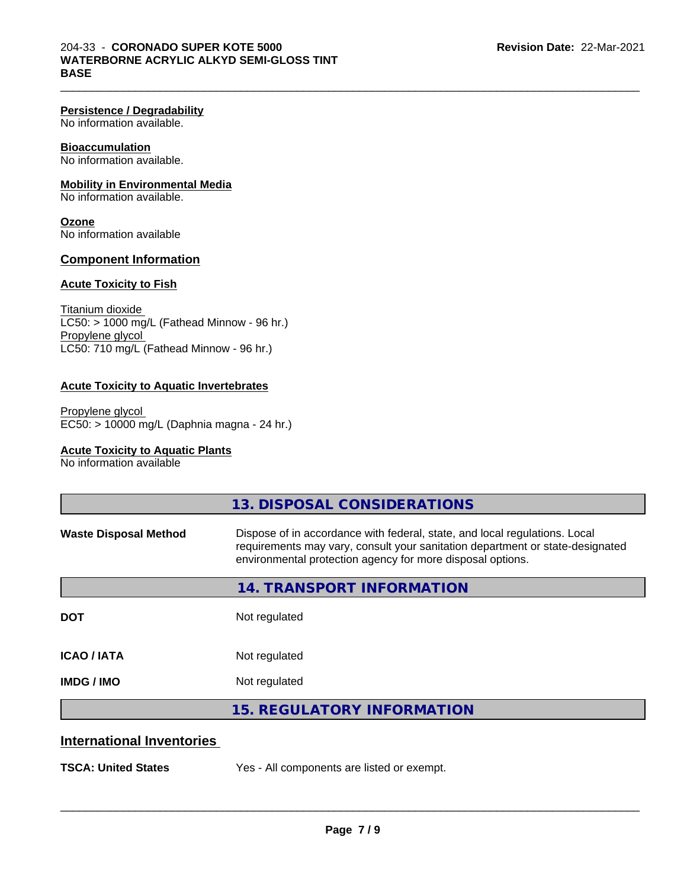#### **Persistence / Degradability**

No information available.

### **Bioaccumulation**

No information available.

### **Mobility in Environmental Media**

No information available.

**Ozone** No information available

#### **Component Information**

#### **Acute Toxicity to Fish**

Titanium dioxide  $LC50: > 1000$  mg/L (Fathead Minnow - 96 hr.) Propylene glycol LC50: 710 mg/L (Fathead Minnow - 96 hr.)

#### **Acute Toxicity to Aquatic Invertebrates**

Propylene glycol EC50: > 10000 mg/L (Daphnia magna - 24 hr.)

#### **Acute Toxicity to Aquatic Plants**

No information available

|                                  | 13. DISPOSAL CONSIDERATIONS                                                                                                                                                                                               |
|----------------------------------|---------------------------------------------------------------------------------------------------------------------------------------------------------------------------------------------------------------------------|
| <b>Waste Disposal Method</b>     | Dispose of in accordance with federal, state, and local regulations. Local<br>requirements may vary, consult your sanitation department or state-designated<br>environmental protection agency for more disposal options. |
|                                  | 14. TRANSPORT INFORMATION                                                                                                                                                                                                 |
| <b>DOT</b>                       | Not regulated                                                                                                                                                                                                             |
| <b>ICAO/IATA</b>                 | Not regulated                                                                                                                                                                                                             |
| <b>IMDG/IMO</b>                  | Not regulated                                                                                                                                                                                                             |
|                                  | <b>15. REGULATORY INFORMATION</b>                                                                                                                                                                                         |
| <b>International Inventories</b> |                                                                                                                                                                                                                           |
| <b>TSCA: United States</b>       | Yes - All components are listed or exempt.                                                                                                                                                                                |

 $\_$  ,  $\_$  ,  $\_$  ,  $\_$  ,  $\_$  ,  $\_$  ,  $\_$  ,  $\_$  ,  $\_$  ,  $\_$  ,  $\_$  ,  $\_$  ,  $\_$  ,  $\_$  ,  $\_$  ,  $\_$  ,  $\_$  ,  $\_$  ,  $\_$  ,  $\_$  ,  $\_$  ,  $\_$  ,  $\_$  ,  $\_$  ,  $\_$  ,  $\_$  ,  $\_$  ,  $\_$  ,  $\_$  ,  $\_$  ,  $\_$  ,  $\_$  ,  $\_$  ,  $\_$  ,  $\_$  ,  $\_$  ,  $\_$  ,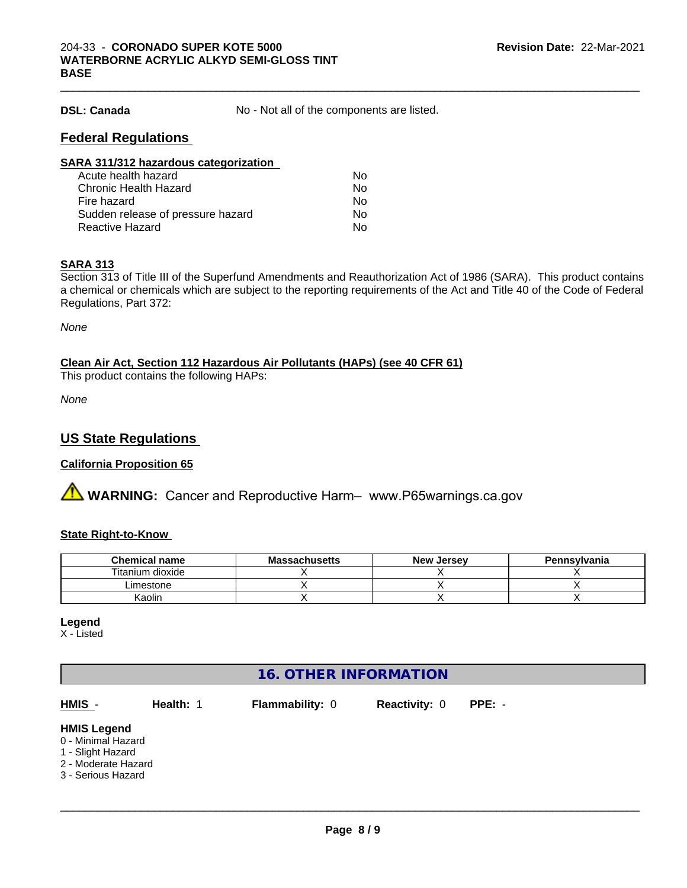**DSL: Canada** No - Not all of the components are listed.

 $\_$  ,  $\_$  ,  $\_$  ,  $\_$  ,  $\_$  ,  $\_$  ,  $\_$  ,  $\_$  ,  $\_$  ,  $\_$  ,  $\_$  ,  $\_$  ,  $\_$  ,  $\_$  ,  $\_$  ,  $\_$  ,  $\_$  ,  $\_$  ,  $\_$  ,  $\_$  ,  $\_$  ,  $\_$  ,  $\_$  ,  $\_$  ,  $\_$  ,  $\_$  ,  $\_$  ,  $\_$  ,  $\_$  ,  $\_$  ,  $\_$  ,  $\_$  ,  $\_$  ,  $\_$  ,  $\_$  ,  $\_$  ,  $\_$  ,

# **Federal Regulations**

| SARA 311/312 hazardous categorization |    |  |
|---------------------------------------|----|--|
| Acute health hazard                   | Nο |  |
| Chronic Health Hazard                 | No |  |
| Fire hazard                           | Nο |  |
| Sudden release of pressure hazard     | Nο |  |
| <b>Reactive Hazard</b>                | No |  |

#### **SARA 313**

Section 313 of Title III of the Superfund Amendments and Reauthorization Act of 1986 (SARA). This product contains a chemical or chemicals which are subject to the reporting requirements of the Act and Title 40 of the Code of Federal Regulations, Part 372:

*None*

#### **Clean Air Act,Section 112 Hazardous Air Pollutants (HAPs) (see 40 CFR 61)**

This product contains the following HAPs:

*None*

## **US State Regulations**

#### **California Proposition 65**

**A** WARNING: Cancer and Reproductive Harm– www.P65warnings.ca.gov

### **State Right-to-Know**

| <b>Chemical name</b> | <b>Massachusetts</b> | <b>New Jersey</b> | Pennsylvania |
|----------------------|----------------------|-------------------|--------------|
| Titanium dioxide     |                      |                   |              |
| ∟imestone            |                      |                   |              |
| Kaolin               |                      |                   |              |

#### **Legend**

X - Listed

| <b>16. OTHER INFORMATION</b>                                                                               |           |                 |                      |          |  |
|------------------------------------------------------------------------------------------------------------|-----------|-----------------|----------------------|----------|--|
| HMIS -                                                                                                     | Health: 1 | Flammability: 0 | <b>Reactivity: 0</b> | $PPE: -$ |  |
| <b>HMIS Legend</b><br>0 - Minimal Hazard<br>1 - Slight Hazard<br>2 - Moderate Hazard<br>3 - Serious Hazard |           |                 |                      |          |  |